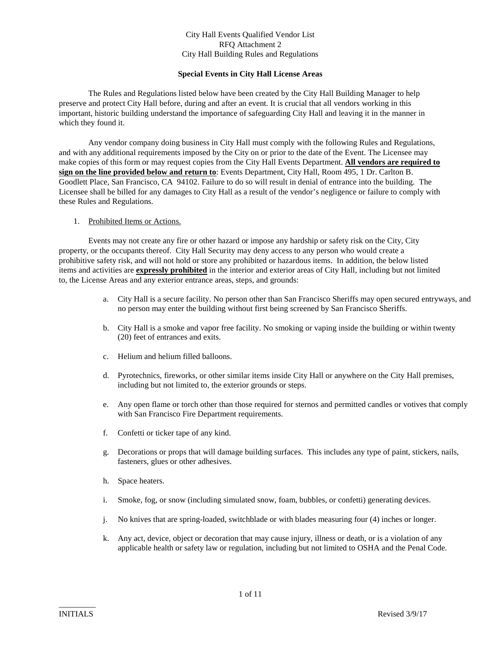#### **Special Events in City Hall License Areas**

The Rules and Regulations listed below have been created by the City Hall Building Manager to help preserve and protect City Hall before, during and after an event. It is crucial that all vendors working in this important, historic building understand the importance of safeguarding City Hall and leaving it in the manner in which they found it.

Any vendor company doing business in City Hall must comply with the following Rules and Regulations, and with any additional requirements imposed by the City on or prior to the date of the Event. The Licensee may make copies of this form or may request copies from the City Hall Events Department. **All vendors are required to sign on the line provided below and return to**: Events Department, City Hall, Room 495, 1 Dr. Carlton B. Goodlett Place, San Francisco, CA 94102. Failure to do so will result in denial of entrance into the building. The Licensee shall be billed for any damages to City Hall as a result of the vendor's negligence or failure to comply with these Rules and Regulations.

#### 1. Prohibited Items or Actions.

Events may not create any fire or other hazard or impose any hardship or safety risk on the City, City property, or the occupants thereof. City Hall Security may deny access to any person who would create a prohibitive safety risk, and will not hold or store any prohibited or hazardous items. In addition, the below listed items and activities are **expressly prohibited** in the interior and exterior areas of City Hall, including but not limited to, the License Areas and any exterior entrance areas, steps, and grounds:

- a. City Hall is a secure facility. No person other than San Francisco Sheriffs may open secured entryways, and no person may enter the building without first being screened by San Francisco Sheriffs.
- b. City Hall is a smoke and vapor free facility. No smoking or vaping inside the building or within twenty (20) feet of entrances and exits.
- c. Helium and helium filled balloons.
- d. Pyrotechnics, fireworks, or other similar items inside City Hall or anywhere on the City Hall premises, including but not limited to, the exterior grounds or steps.
- e. Any open flame or torch other than those required for sternos and permitted candles or votives that comply with San Francisco Fire Department requirements.
- f. Confetti or ticker tape of any kind.
- g. Decorations or props that will damage building surfaces. This includes any type of paint, stickers, nails, fasteners, glues or other adhesives.
- h. Space heaters.
- i. Smoke, fog, or snow (including simulated snow, foam, bubbles, or confetti) generating devices.
- j. No knives that are spring-loaded, switchblade or with blades measuring four (4) inches or longer.
- k. Any act, device, object or decoration that may cause injury, illness or death, or is a violation of any applicable health or safety law or regulation, including but not limited to OSHA and the Penal Code.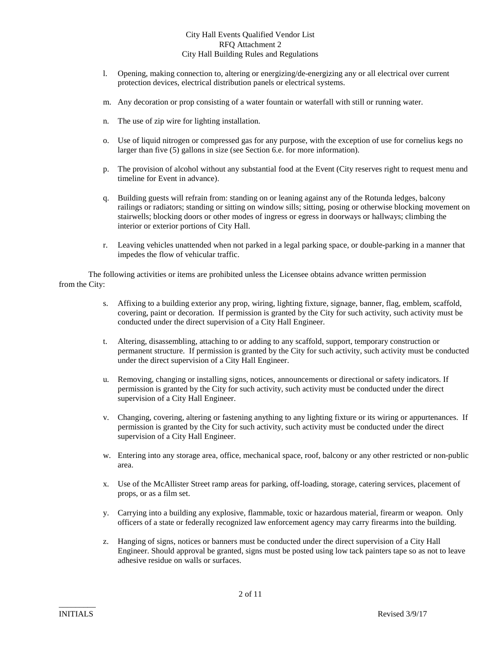- l. Opening, making connection to, altering or energizing/de-energizing any or all electrical over current protection devices, electrical distribution panels or electrical systems.
- m. Any decoration or prop consisting of a water fountain or waterfall with still or running water.
- n. The use of zip wire for lighting installation.
- o. Use of liquid nitrogen or compressed gas for any purpose, with the exception of use for cornelius kegs no larger than five (5) gallons in size (see Section 6.e. for more information).
- p. The provision of alcohol without any substantial food at the Event (City reserves right to request menu and timeline for Event in advance).
- q. Building guests will refrain from: standing on or leaning against any of the Rotunda ledges, balcony railings or radiators; standing or sitting on window sills; sitting, posing or otherwise blocking movement on stairwells; blocking doors or other modes of ingress or egress in doorways or hallways; climbing the interior or exterior portions of City Hall.
- r. Leaving vehicles unattended when not parked in a legal parking space, or double-parking in a manner that impedes the flow of vehicular traffic.

The following activities or items are prohibited unless the Licensee obtains advance written permission from the City:

- s. Affixing to a building exterior any prop, wiring, lighting fixture, signage, banner, flag, emblem, scaffold, covering, paint or decoration. If permission is granted by the City for such activity, such activity must be conducted under the direct supervision of a City Hall Engineer.
- t. Altering, disassembling, attaching to or adding to any scaffold, support, temporary construction or permanent structure. If permission is granted by the City for such activity, such activity must be conducted under the direct supervision of a City Hall Engineer.
- u. Removing, changing or installing signs, notices, announcements or directional or safety indicators. If permission is granted by the City for such activity, such activity must be conducted under the direct supervision of a City Hall Engineer.
- v. Changing, covering, altering or fastening anything to any lighting fixture or its wiring or appurtenances. If permission is granted by the City for such activity, such activity must be conducted under the direct supervision of a City Hall Engineer.
- w. Entering into any storage area, office, mechanical space, roof, balcony or any other restricted or non-public area.
- x. Use of the McAllister Street ramp areas for parking, off-loading, storage, catering services, placement of props, or as a film set.
- y. Carrying into a building any explosive, flammable, toxic or hazardous material, firearm or weapon. Only officers of a state or federally recognized law enforcement agency may carry firearms into the building.
- z. Hanging of signs, notices or banners must be conducted under the direct supervision of a City Hall Engineer. Should approval be granted, signs must be posted using low tack painters tape so as not to leave adhesive residue on walls or surfaces.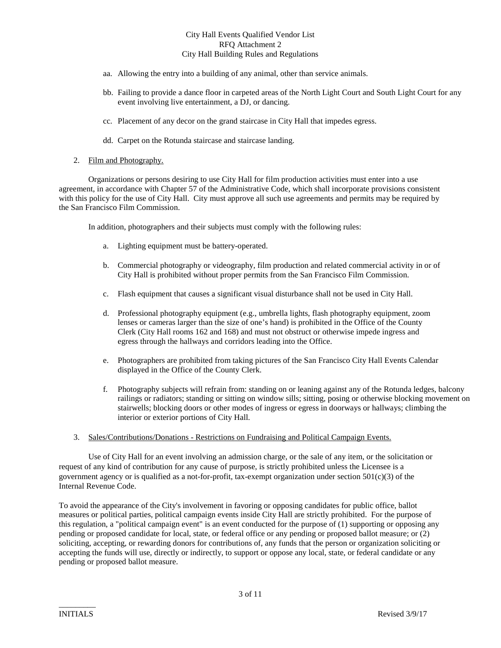- aa. Allowing the entry into a building of any animal, other than service animals.
- bb. Failing to provide a dance floor in carpeted areas of the North Light Court and South Light Court for any event involving live entertainment, a DJ, or dancing.
- cc. Placement of any decor on the grand staircase in City Hall that impedes egress.
- dd. Carpet on the Rotunda staircase and staircase landing.

#### 2. Film and Photography.

Organizations or persons desiring to use City Hall for film production activities must enter into a use agreement, in accordance with Chapter 57 of the Administrative Code, which shall incorporate provisions consistent with this policy for the use of City Hall. City must approve all such use agreements and permits may be required by the San Francisco Film Commission.

In addition, photographers and their subjects must comply with the following rules:

- a. Lighting equipment must be battery-operated.
- b. Commercial photography or videography, film production and related commercial activity in or of City Hall is prohibited without proper permits from the San Francisco Film Commission.
- c. Flash equipment that causes a significant visual disturbance shall not be used in City Hall.
- d. Professional photography equipment (e.g., umbrella lights, flash photography equipment, zoom lenses or cameras larger than the size of one's hand) is prohibited in the Office of the County Clerk (City Hall rooms 162 and 168) and must not obstruct or otherwise impede ingress and egress through the hallways and corridors leading into the Office.
- e. Photographers are prohibited from taking pictures of the San Francisco City Hall Events Calendar displayed in the Office of the County Clerk.
- f. Photography subjects will refrain from: standing on or leaning against any of the Rotunda ledges, balcony railings or radiators; standing or sitting on window sills; sitting, posing or otherwise blocking movement on stairwells; blocking doors or other modes of ingress or egress in doorways or hallways; climbing the interior or exterior portions of City Hall.
- 3. Sales/Contributions/Donations Restrictions on Fundraising and Political Campaign Events.

Use of City Hall for an event involving an admission charge, or the sale of any item, or the solicitation or request of any kind of contribution for any cause of purpose, is strictly prohibited unless the Licensee is a government agency or is qualified as a not-for-profit, tax-exempt organization under section  $501(c)(3)$  of the Internal Revenue Code.

To avoid the appearance of the City's involvement in favoring or opposing candidates for public office, ballot measures or political parties, political campaign events inside City Hall are strictly prohibited. For the purpose of this regulation, a "political campaign event" is an event conducted for the purpose of (1) supporting or opposing any pending or proposed candidate for local, state, or federal office or any pending or proposed ballot measure; or (2) soliciting, accepting, or rewarding donors for contributions of, any funds that the person or organization soliciting or accepting the funds will use, directly or indirectly, to support or oppose any local, state, or federal candidate or any pending or proposed ballot measure.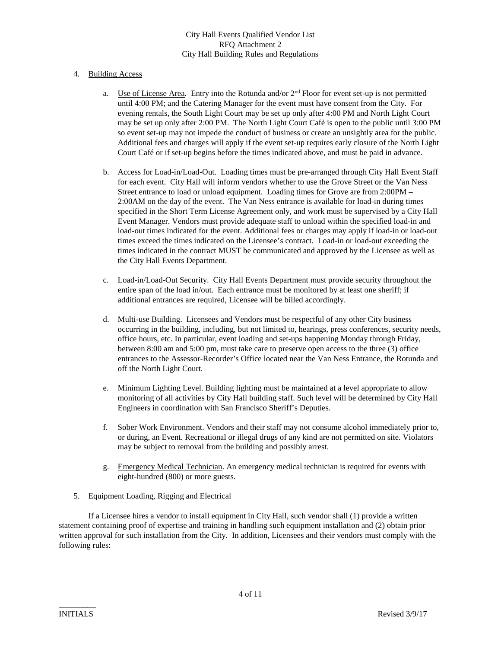## 4. Building Access

- a. Use of License Area. Entry into the Rotunda and/or  $2<sup>nd</sup>$  Floor for event set-up is not permitted until 4:00 PM; and the Catering Manager for the event must have consent from the City. For evening rentals, the South Light Court may be set up only after 4:00 PM and North Light Court may be set up only after 2:00 PM. The North Light Court Café is open to the public until 3:00 PM so event set-up may not impede the conduct of business or create an unsightly area for the public. Additional fees and charges will apply if the event set-up requires early closure of the North Light Court Café or if set-up begins before the times indicated above, and must be paid in advance.
- b. Access for Load-in/Load-Out. Loading times must be pre-arranged through City Hall Event Staff for each event. City Hall will inform vendors whether to use the Grove Street or the Van Ness Street entrance to load or unload equipment. Loading times for Grove are from 2:00PM – 2:00AM on the day of the event. The Van Ness entrance is available for load-in during times specified in the Short Term License Agreement only, and work must be supervised by a City Hall Event Manager. Vendors must provide adequate staff to unload within the specified load-in and load-out times indicated for the event. Additional fees or charges may apply if load-in or load-out times exceed the times indicated on the Licensee's contract. Load-in or load-out exceeding the times indicated in the contract MUST be communicated and approved by the Licensee as well as the City Hall Events Department.
- c. Load-in/Load-Out Security. City Hall Events Department must provide security throughout the entire span of the load in/out. Each entrance must be monitored by at least one sheriff; if additional entrances are required, Licensee will be billed accordingly.
- d. Multi-use Building. Licensees and Vendors must be respectful of any other City business occurring in the building, including, but not limited to, hearings, press conferences, security needs, office hours, etc. In particular, event loading and set-ups happening Monday through Friday, between 8:00 am and 5:00 pm, must take care to preserve open access to the three (3) office entrances to the Assessor-Recorder's Office located near the Van Ness Entrance, the Rotunda and off the North Light Court.
- e. Minimum Lighting Level. Building lighting must be maintained at a level appropriate to allow monitoring of all activities by City Hall building staff. Such level will be determined by City Hall Engineers in coordination with San Francisco Sheriff's Deputies.
- f. Sober Work Environment. Vendors and their staff may not consume alcohol immediately prior to, or during, an Event. Recreational or illegal drugs of any kind are not permitted on site. Violators may be subject to removal from the building and possibly arrest.
- g. Emergency Medical Technician. An emergency medical technician is required for events with eight-hundred (800) or more guests.

#### 5. Equipment Loading, Rigging and Electrical

If a Licensee hires a vendor to install equipment in City Hall, such vendor shall (1) provide a written statement containing proof of expertise and training in handling such equipment installation and (2) obtain prior written approval for such installation from the City. In addition, Licensees and their vendors must comply with the following rules: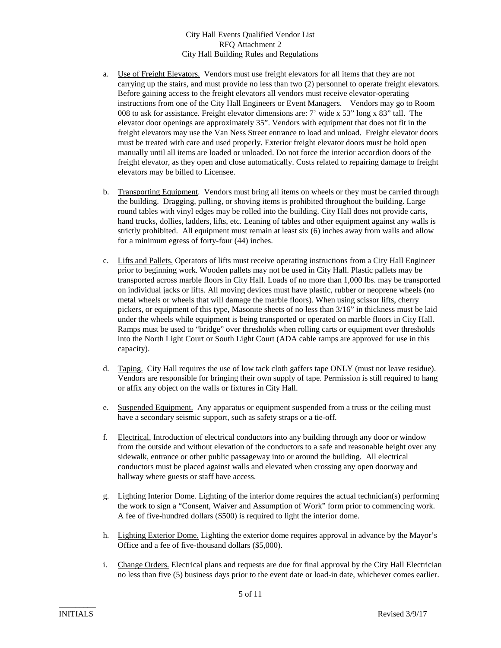- a. Use of Freight Elevators. Vendors must use freight elevators for all items that they are not carrying up the stairs, and must provide no less than two (2) personnel to operate freight elevators. Before gaining access to the freight elevators all vendors must receive elevator-operating instructions from one of the City Hall Engineers or Event Managers. Vendors may go to Room 008 to ask for assistance. Freight elevator dimensions are: 7' wide x 53" long x 83" tall. The elevator door openings are approximately 35". Vendors with equipment that does not fit in the freight elevators may use the Van Ness Street entrance to load and unload. Freight elevator doors must be treated with care and used properly. Exterior freight elevator doors must be hold open manually until all items are loaded or unloaded. Do not force the interior accordion doors of the freight elevator, as they open and close automatically. Costs related to repairing damage to freight elevators may be billed to Licensee.
- b. Transporting Equipment. Vendors must bring all items on wheels or they must be carried through the building. Dragging, pulling, or shoving items is prohibited throughout the building. Large round tables with vinyl edges may be rolled into the building. City Hall does not provide carts, hand trucks, dollies, ladders, lifts, etc. Leaning of tables and other equipment against any walls is strictly prohibited. All equipment must remain at least six (6) inches away from walls and allow for a minimum egress of forty-four (44) inches.
- c. Lifts and Pallets. Operators of lifts must receive operating instructions from a City Hall Engineer prior to beginning work. Wooden pallets may not be used in City Hall. Plastic pallets may be transported across marble floors in City Hall. Loads of no more than 1,000 lbs. may be transported on individual jacks or lifts. All moving devices must have plastic, rubber or neoprene wheels (no metal wheels or wheels that will damage the marble floors). When using scissor lifts, cherry pickers, or equipment of this type, Masonite sheets of no less than 3/16" in thickness must be laid under the wheels while equipment is being transported or operated on marble floors in City Hall. Ramps must be used to "bridge" over thresholds when rolling carts or equipment over thresholds into the North Light Court or South Light Court (ADA cable ramps are approved for use in this capacity).
- d. Taping. City Hall requires the use of low tack cloth gaffers tape ONLY (must not leave residue). Vendors are responsible for bringing their own supply of tape. Permission is still required to hang or affix any object on the walls or fixtures in City Hall.
- e. Suspended Equipment. Any apparatus or equipment suspended from a truss or the ceiling must have a secondary seismic support, such as safety straps or a tie-off.
- f. Electrical. Introduction of electrical conductors into any building through any door or window from the outside and without elevation of the conductors to a safe and reasonable height over any sidewalk, entrance or other public passageway into or around the building. All electrical conductors must be placed against walls and elevated when crossing any open doorway and hallway where guests or staff have access.
- g. Lighting Interior Dome. Lighting of the interior dome requires the actual technician(s) performing the work to sign a "Consent, Waiver and Assumption of Work" form prior to commencing work. A fee of five-hundred dollars (\$500) is required to light the interior dome.
- h. Lighting Exterior Dome. Lighting the exterior dome requires approval in advance by the Mayor's Office and a fee of five-thousand dollars (\$5,000).
- i. Change Orders. Electrical plans and requests are due for final approval by the City Hall Electrician no less than five (5) business days prior to the event date or load-in date, whichever comes earlier.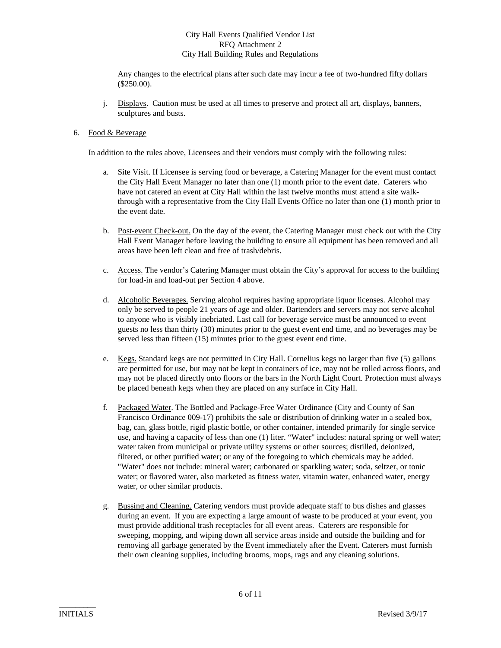Any changes to the electrical plans after such date may incur a fee of two-hundred fifty dollars (\$250.00).

j. Displays. Caution must be used at all times to preserve and protect all art, displays, banners, sculptures and busts.

## 6. Food & Beverage

In addition to the rules above, Licensees and their vendors must comply with the following rules:

- a. Site Visit. If Licensee is serving food or beverage, a Catering Manager for the event must contact the City Hall Event Manager no later than one (1) month prior to the event date. Caterers who have not catered an event at City Hall within the last twelve months must attend a site walkthrough with a representative from the City Hall Events Office no later than one (1) month prior to the event date.
- b. Post-event Check-out. On the day of the event, the Catering Manager must check out with the City Hall Event Manager before leaving the building to ensure all equipment has been removed and all areas have been left clean and free of trash/debris.
- c. Access. The vendor's Catering Manager must obtain the City's approval for access to the building for load-in and load-out per Section 4 above.
- d. Alcoholic Beverages. Serving alcohol requires having appropriate liquor licenses. Alcohol may only be served to people 21 years of age and older. Bartenders and servers may not serve alcohol to anyone who is visibly inebriated. Last call for beverage service must be announced to event guests no less than thirty (30) minutes prior to the guest event end time, and no beverages may be served less than fifteen (15) minutes prior to the guest event end time.
- e. Kegs. Standard kegs are not permitted in City Hall. Cornelius kegs no larger than five (5) gallons are permitted for use, but may not be kept in containers of ice, may not be rolled across floors, and may not be placed directly onto floors or the bars in the North Light Court. Protection must always be placed beneath kegs when they are placed on any surface in City Hall.
- f. Packaged Water. The Bottled and Package-Free Water Ordinance (City and County of San Francisco Ordinance 009-17) prohibits the sale or distribution of drinking water in a sealed box, bag, can, glass bottle, rigid plastic bottle, or other container, intended primarily for single service use, and having a capacity of less than one (1) liter. "Water" includes: natural spring or well water; water taken from municipal or private utility systems or other sources; distilled, deionized, filtered, or other purified water; or any of the foregoing to which chemicals may be added. "Water" does not include: mineral water; carbonated or sparkling water; soda, seltzer, or tonic water; or flavored water, also marketed as fitness water, vitamin water, enhanced water, energy water, or other similar products.
- g. Bussing and Cleaning. Catering vendors must provide adequate staff to bus dishes and glasses during an event. If you are expecting a large amount of waste to be produced at your event, you must provide additional trash receptacles for all event areas. Caterers are responsible for sweeping, mopping, and wiping down all service areas inside and outside the building and for removing all garbage generated by the Event immediately after the Event. Caterers must furnish their own cleaning supplies, including brooms, mops, rags and any cleaning solutions.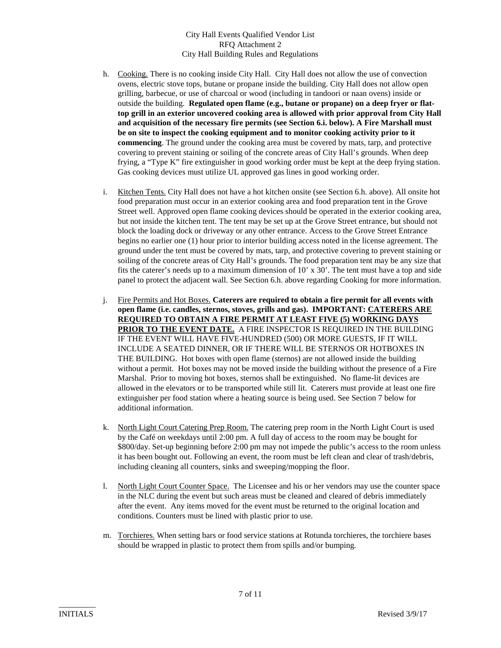- h. Cooking. There is no cooking inside City Hall. City Hall does not allow the use of convection ovens, electric stove tops, butane or propane inside the building. City Hall does not allow open grilling, barbecue, or use of charcoal or wood (including in tandoori or naan ovens) inside or outside the building. **Regulated open flame (e.g., butane or propane) on a deep fryer or flattop grill in an exterior uncovered cooking area is allowed with prior approval from City Hall and acquisition of the necessary fire permits (see Section 6.i. below). A Fire Marshall must be on site to inspect the cooking equipment and to monitor cooking activity prior to it commencing**. The ground under the cooking area must be covered by mats, tarp, and protective covering to prevent staining or soiling of the concrete areas of City Hall's grounds. When deep frying, a "Type K" fire extinguisher in good working order must be kept at the deep frying station. Gas cooking devices must utilize UL approved gas lines in good working order.
- i. Kitchen Tents. City Hall does not have a hot kitchen onsite (see Section 6.h. above). All onsite hot food preparation must occur in an exterior cooking area and food preparation tent in the Grove Street well. Approved open flame cooking devices should be operated in the exterior cooking area, but not inside the kitchen tent. The tent may be set up at the Grove Street entrance, but should not block the loading dock or driveway or any other entrance. Access to the Grove Street Entrance begins no earlier one (1) hour prior to interior building access noted in the license agreement. The ground under the tent must be covered by mats, tarp, and protective covering to prevent staining or soiling of the concrete areas of City Hall's grounds. The food preparation tent may be any size that fits the caterer's needs up to a maximum dimension of 10' x 30'. The tent must have a top and side panel to protect the adjacent wall. See Section 6.h. above regarding Cooking for more information.
- j. Fire Permits and Hot Boxes. **Caterers are required to obtain a fire permit for all events with open flame (i.e. candles, sternos, stoves, grills and gas). IMPORTANT: CATERERS ARE REQUIRED TO OBTAIN A FIRE PERMIT AT LEAST FIVE (5) WORKING DAYS PRIOR TO THE EVENT DATE.** A FIRE INSPECTOR IS REQUIRED IN THE BUILDING IF THE EVENT WILL HAVE FIVE-HUNDRED (500) OR MORE GUESTS, IF IT WILL INCLUDE A SEATED DINNER, OR IF THERE WILL BE STERNOS OR HOTBOXES IN THE BUILDING. Hot boxes with open flame (sternos) are not allowed inside the building without a permit. Hot boxes may not be moved inside the building without the presence of a Fire Marshal. Prior to moving hot boxes, sternos shall be extinguished. No flame-lit devices are allowed in the elevators or to be transported while still lit. Caterers must provide at least one fire extinguisher per food station where a heating source is being used. See Section 7 below for additional information.
- k. North Light Court Catering Prep Room. The catering prep room in the North Light Court is used by the Café on weekdays until 2:00 pm. A full day of access to the room may be bought for \$800/day. Set-up beginning before 2:00 pm may not impede the public's access to the room unless it has been bought out. Following an event, the room must be left clean and clear of trash/debris, including cleaning all counters, sinks and sweeping/mopping the floor.
- l. North Light Court Counter Space. The Licensee and his or her vendors may use the counter space in the NLC during the event but such areas must be cleaned and cleared of debris immediately after the event. Any items moved for the event must be returned to the original location and conditions. Counters must be lined with plastic prior to use.
- m. Torchieres. When setting bars or food service stations at Rotunda torchieres, the torchiere bases should be wrapped in plastic to protect them from spills and/or bumping.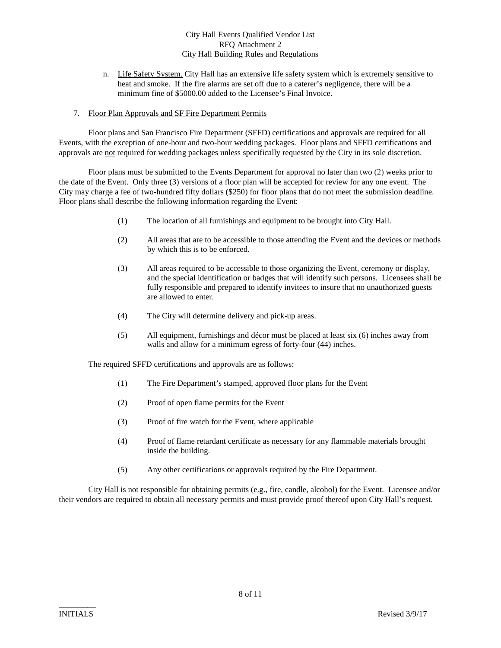- n. Life Safety System. City Hall has an extensive life safety system which is extremely sensitive to heat and smoke. If the fire alarms are set off due to a caterer's negligence, there will be a minimum fine of \$5000.00 added to the Licensee's Final Invoice.
- 7. Floor Plan Approvals and SF Fire Department Permits

Floor plans and San Francisco Fire Department (SFFD) certifications and approvals are required for all Events, with the exception of one-hour and two-hour wedding packages. Floor plans and SFFD certifications and approvals are not required for wedding packages unless specifically requested by the City in its sole discretion.

Floor plans must be submitted to the Events Department for approval no later than two (2) weeks prior to the date of the Event. Only three (3) versions of a floor plan will be accepted for review for any one event. The City may charge a fee of two-hundred fifty dollars (\$250) for floor plans that do not meet the submission deadline. Floor plans shall describe the following information regarding the Event:

- (1) The location of all furnishings and equipment to be brought into City Hall.
- (2) All areas that are to be accessible to those attending the Event and the devices or methods by which this is to be enforced.
- (3) All areas required to be accessible to those organizing the Event, ceremony or display, and the special identification or badges that will identify such persons. Licensees shall be fully responsible and prepared to identify invitees to insure that no unauthorized guests are allowed to enter.
- (4) The City will determine delivery and pick-up areas.
- (5) All equipment, furnishings and décor must be placed at least six (6) inches away from walls and allow for a minimum egress of forty-four (44) inches.

The required SFFD certifications and approvals are as follows:

- (1) The Fire Department's stamped, approved floor plans for the Event
- (2) Proof of open flame permits for the Event
- (3) Proof of fire watch for the Event, where applicable
- (4) Proof of flame retardant certificate as necessary for any flammable materials brought inside the building.
- (5) Any other certifications or approvals required by the Fire Department.

City Hall is not responsible for obtaining permits (e.g., fire, candle, alcohol) for the Event. Licensee and/or their vendors are required to obtain all necessary permits and must provide proof thereof upon City Hall's request.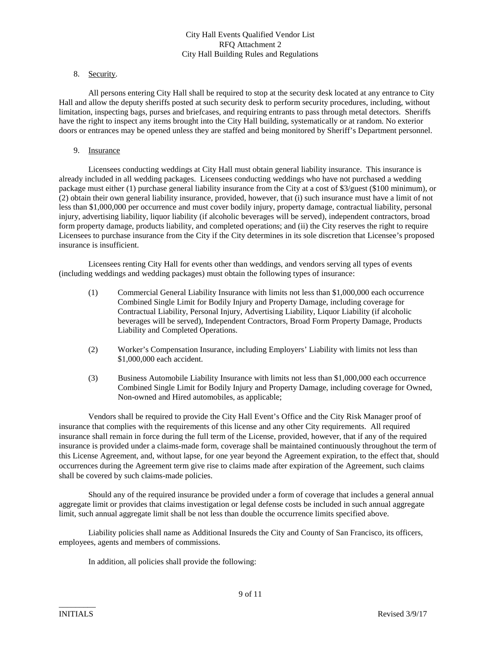#### 8. Security.

All persons entering City Hall shall be required to stop at the security desk located at any entrance to City Hall and allow the deputy sheriffs posted at such security desk to perform security procedures, including, without limitation, inspecting bags, purses and briefcases, and requiring entrants to pass through metal detectors. Sheriffs have the right to inspect any items brought into the City Hall building, systematically or at random. No exterior doors or entrances may be opened unless they are staffed and being monitored by Sheriff's Department personnel.

#### 9. Insurance

Licensees conducting weddings at City Hall must obtain general liability insurance. This insurance is already included in all wedding packages. Licensees conducting weddings who have not purchased a wedding package must either (1) purchase general liability insurance from the City at a cost of \$3/guest (\$100 minimum), or (2) obtain their own general liability insurance, provided, however, that (i) such insurance must have a limit of not less than \$1,000,000 per occurrence and must cover bodily injury, property damage, contractual liability, personal injury, advertising liability, liquor liability (if alcoholic beverages will be served), independent contractors, broad form property damage, products liability, and completed operations; and (ii) the City reserves the right to require Licensees to purchase insurance from the City if the City determines in its sole discretion that Licensee's proposed insurance is insufficient.

Licensees renting City Hall for events other than weddings, and vendors serving all types of events (including weddings and wedding packages) must obtain the following types of insurance:

- (1) Commercial General Liability Insurance with limits not less than \$1,000,000 each occurrence Combined Single Limit for Bodily Injury and Property Damage, including coverage for Contractual Liability, Personal Injury, Advertising Liability, Liquor Liability (if alcoholic beverages will be served), Independent Contractors, Broad Form Property Damage, Products Liability and Completed Operations.
- (2) Worker's Compensation Insurance, including Employers' Liability with limits not less than \$1,000,000 each accident.
- (3) Business Automobile Liability Insurance with limits not less than \$1,000,000 each occurrence Combined Single Limit for Bodily Injury and Property Damage, including coverage for Owned, Non-owned and Hired automobiles, as applicable;

Vendors shall be required to provide the City Hall Event's Office and the City Risk Manager proof of insurance that complies with the requirements of this license and any other City requirements. All required insurance shall remain in force during the full term of the License, provided, however, that if any of the required insurance is provided under a claims-made form, coverage shall be maintained continuously throughout the term of this License Agreement, and, without lapse, for one year beyond the Agreement expiration, to the effect that, should occurrences during the Agreement term give rise to claims made after expiration of the Agreement, such claims shall be covered by such claims-made policies.

Should any of the required insurance be provided under a form of coverage that includes a general annual aggregate limit or provides that claims investigation or legal defense costs be included in such annual aggregate limit, such annual aggregate limit shall be not less than double the occurrence limits specified above.

Liability policies shall name as Additional Insureds the City and County of San Francisco, its officers, employees, agents and members of commissions.

In addition, all policies shall provide the following: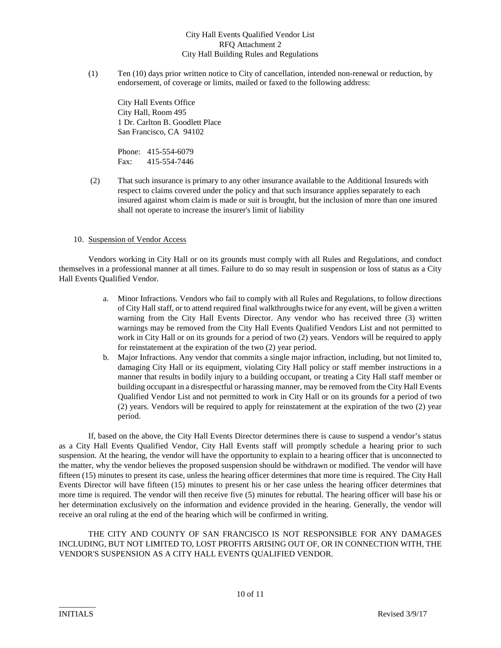(1) Ten (10) days prior written notice to City of cancellation, intended non-renewal or reduction, by endorsement, of coverage or limits, mailed or faxed to the following address:

City Hall Events Office City Hall, Room 495 1 Dr. Carlton B. Goodlett Place San Francisco, CA 94102

Phone: 415-554-6079 Fax: 415-554-7446

(2) That such insurance is primary to any other insurance available to the Additional Insureds with respect to claims covered under the policy and that such insurance applies separately to each insured against whom claim is made or suit is brought, but the inclusion of more than one insured shall not operate to increase the insurer's limit of liability

#### 10. Suspension of Vendor Access

Vendors working in City Hall or on its grounds must comply with all Rules and Regulations, and conduct themselves in a professional manner at all times. Failure to do so may result in suspension or loss of status as a City Hall Events Qualified Vendor.

- a. Minor Infractions. Vendors who fail to comply with all Rules and Regulations, to follow directions of City Hall staff, or to attend required final walkthroughs twice for any event, will be given a written warning from the City Hall Events Director. Any vendor who has received three (3) written warnings may be removed from the City Hall Events Qualified Vendors List and not permitted to work in City Hall or on its grounds for a period of two (2) years. Vendors will be required to apply for reinstatement at the expiration of the two (2) year period.
- b. Major Infractions. Any vendor that commits a single major infraction, including, but not limited to, damaging City Hall or its equipment, violating City Hall policy or staff member instructions in a manner that results in bodily injury to a building occupant, or treating a City Hall staff member or building occupant in a disrespectful or harassing manner, may be removed from the City Hall Events Qualified Vendor List and not permitted to work in City Hall or on its grounds for a period of two (2) years. Vendors will be required to apply for reinstatement at the expiration of the two (2) year period.

If, based on the above, the City Hall Events Director determines there is cause to suspend a vendor's status as a City Hall Events Qualified Vendor, City Hall Events staff will promptly schedule a hearing prior to such suspension. At the hearing, the vendor will have the opportunity to explain to a hearing officer that is unconnected to the matter, why the vendor believes the proposed suspension should be withdrawn or modified. The vendor will have fifteen (15) minutes to present its case, unless the hearing officer determines that more time is required. The City Hall Events Director will have fifteen (15) minutes to present his or her case unless the hearing officer determines that more time is required. The vendor will then receive five (5) minutes for rebuttal. The hearing officer will base his or her determination exclusively on the information and evidence provided in the hearing. Generally, the vendor will receive an oral ruling at the end of the hearing which will be confirmed in writing.

THE CITY AND COUNTY OF SAN FRANCISCO IS NOT RESPONSIBLE FOR ANY DAMAGES INCLUDING, BUT NOT LIMITED TO, LOST PROFITS ARISING OUT OF, OR IN CONNECTION WITH, THE VENDOR'S SUSPENSION AS A CITY HALL EVENTS QUALIFIED VENDOR.